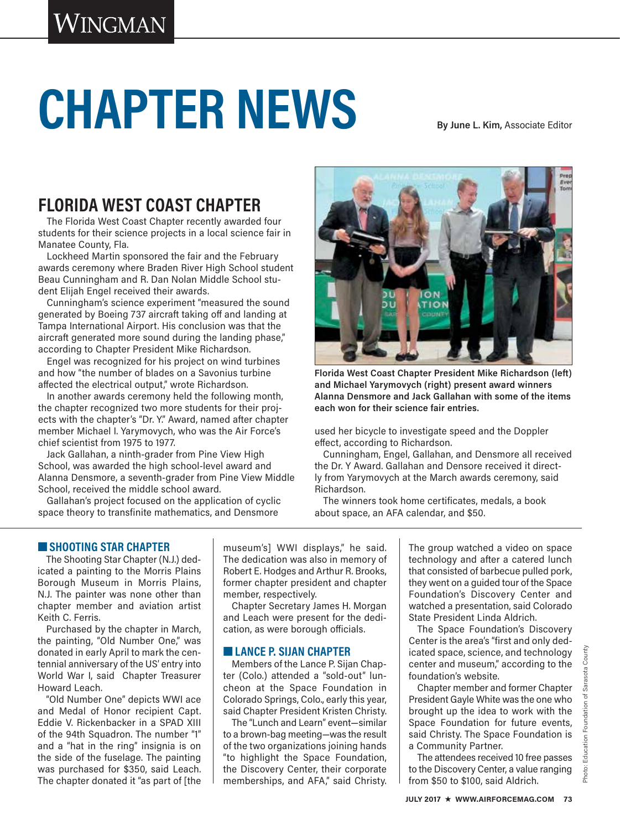# CHAPTER NEWS<br>By June L. Kim, Associate Editor

# **FLORIDA WEST COAST CHAPTER**

The Florida West Coast Chapter recently awarded four students for their science projects in a local science fair in Manatee County, Fla.

Lockheed Martin sponsored the fair and the February awards ceremony where Braden River High School student Beau Cunningham and R. Dan Nolan Middle School student Elijah Engel received their awards.

Cunningham's science experiment "measured the sound generated by Boeing 737 aircraft taking off and landing at Tampa International Airport. His conclusion was that the aircraft generated more sound during the landing phase," according to Chapter President Mike Richardson.

Engel was recognized for his project on wind turbines and how "the number of blades on a Savonius turbine affected the electrical output," wrote Richardson.

In another awards ceremony held the following month, the chapter recognized two more students for their projects with the chapter's "Dr. Y." Award, named after chapter member Michael I. Yarymovych, who was the Air Force's chief scientist from 1975 to 1977.

Jack Gallahan, a ninth-grader from Pine View High School, was awarded the high school-level award and Alanna Densmore, a seventh-grader from Pine View Middle School, received the middle school award.

Gallahan's project focused on the application of cyclic space theory to transfinite mathematics, and Densmore



**Florida West Coast Chapter President Mike Richardson (left) and Michael Yarymovych (right) present award winners Alanna Densmore and Jack Gallahan with some of the items each won for their science fair entries.**

used her bicycle to investigate speed and the Doppler effect, according to Richardson.

Cunningham, Engel, Gallahan, and Densmore all received the Dr. Y Award. Gallahan and Densore received it directly from Yarymovych at the March awards ceremony, said Richardson.

The winners took home certificates, medals, a book about space, an AFA calendar, and \$50.

## ■ **SHOOTING STAR CHAPTER**

The Shooting Star Chapter (N.J.) dedicated a painting to the Morris Plains Borough Museum in Morris Plains, N.J. The painter was none other than chapter member and aviation artist Keith C. Ferris.

Purchased by the chapter in March, the painting, "Old Number One," was donated in early April to mark the centennial anniversary of the US' entry into World War I, said Chapter Treasurer Howard Leach.

"Old Number One" depicts WWI ace and Medal of Honor recipient Capt. Eddie V. Rickenbacker in a SPAD XIII of the 94th Squadron. The number "1" and a "hat in the ring" insignia is on the side of the fuselage. The painting was purchased for \$350, said Leach. The chapter donated it "as part of [the

museum's] WWI displays," he said. The dedication was also in memory of Robert E. Hodges and Arthur R. Brooks, former chapter president and chapter member, respectively.

Chapter Secretary James H. Morgan and Leach were present for the dedication, as were borough officials.

### ■ **LANCE P. SIJAN CHAPTER**

Members of the Lance P. Sijan Chapter (Colo.) attended a "sold-out" luncheon at the Space Foundation in Colorado Springs, Colo., early this year, said Chapter President Kristen Christy.

The "Lunch and Learn" event—similar to a brown-bag meeting—was the result of the two organizations joining hands "to highlight the Space Foundation, the Discovery Center, their corporate memberships, and AFA," said Christy. The group watched a video on space technology and after a catered lunch that consisted of barbecue pulled pork, they went on a guided tour of the Space Foundation's Discovery Center and watched a presentation, said Colorado State President Linda Aldrich.

The Space Foundation's Discovery Center is the area's "first and only dedicated space, science, and technology center and museum," according to the foundation's website.

Chapter member and former Chapter President Gayle White was the one who brought up the idea to work with the Space Foundation for future events, said Christy. The Space Foundation is a Community Partner.

The attendees received 10 free passes to the Discovery Center, a value ranging from \$50 to \$100, said Aldrich.